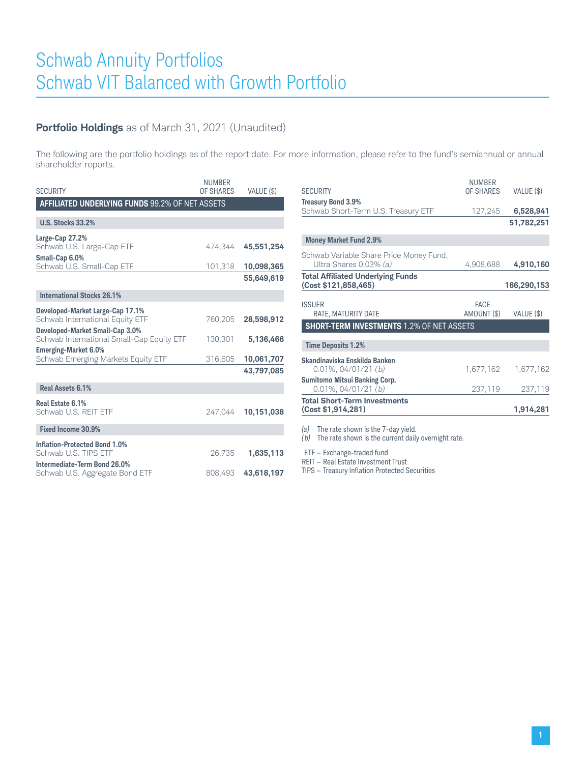## **Portfolio Holdings** as of March 31, 2021 (Unaudited)

The following are the portfolio holdings as of the report date. For more information, please refer to the fund's semiannual or annual shareholder reports.

| <b>SECURITY</b>                                 | <b>NUMBER</b><br>OF SHARES | VALUE (\$) |
|-------------------------------------------------|----------------------------|------------|
| AFFILIATED UNDERLYING FUNDS 99.2% OF NET ASSETS |                            |            |
|                                                 |                            |            |
| <b>U.S. Stocks 33.2%</b>                        |                            |            |
| Large-Cap 27.2%                                 |                            |            |
| Schwab U.S. Large-Cap ETF                       | 474,344                    | 45,551,254 |
| Small-Cap 6.0%                                  |                            |            |
| Schwab U.S. Small-Cap ETF                       | 101,318                    | 10,098,365 |
|                                                 |                            | 55,649,619 |
| <b>International Stocks 26.1%</b>               |                            |            |
| Developed-Market Large-Cap 17.1%                |                            |            |
| Schwab International Equity ETF                 | 760.205                    | 28,598,912 |
| Developed-Market Small-Cap 3.0%                 |                            |            |
| Schwab International Small-Cap Equity ETF       | 130.301                    | 5,136,466  |
| <b>Emerging-Market 6.0%</b>                     |                            |            |
| Schwab Emerging Markets Equity ETF              | 316,605                    | 10,061,707 |
|                                                 |                            | 43,797,085 |
|                                                 |                            |            |
| Real Assets 6.1%                                |                            |            |
| Real Estate 6.1%                                |                            |            |
| Schwab U.S. REIT ETF                            | 247.044                    | 10,151,038 |
|                                                 |                            |            |
| Fixed Income 30.9%                              |                            |            |
| <b>Inflation-Protected Bond 1.0%</b>            |                            |            |
| Schwab U.S. TIPS ETF                            | 26,735                     | 1,635,113  |
| Intermediate-Term Bond 26.0%                    |                            |            |
| Schwab U.S. Aggregate Bond ETF                  | 808.493                    | 43,618,197 |
|                                                 |                            |            |

| <b>SECURITY</b>                                                   | <b>NUMBER</b><br>OF SHARES | VALUE (\$)  |
|-------------------------------------------------------------------|----------------------------|-------------|
| <b>Treasury Bond 3.9%</b><br>Schwab Short-Term U.S. Treasury ETF  | 127,245                    | 6,528,941   |
|                                                                   |                            | 51,782,251  |
| <b>Money Market Fund 2.9%</b>                                     |                            |             |
| Schwab Variable Share Price Money Fund,<br>Ultra Shares 0.03% (a) | 4,908,688                  | 4,910,160   |
| <b>Total Affiliated Underlying Funds</b><br>(Cost \$121,858,465)  |                            | 166,290,153 |
| <b>ISSUER</b><br>RATE, MATURITY DATE                              | <b>FACE</b><br>AMOUNT (\$) | VALUE (\$)  |
| <b>SHORT-TERM INVESTMENTS 1.2% OF NET ASSETS</b>                  |                            |             |
| <b>Time Deposits 1.2%</b>                                         |                            |             |
| Skandinaviska Enskilda Banken<br>$0.01\%$ , 04/01/21 (b)          | 1,677,162                  | 1,677,162   |
| <b>Sumitomo Mitsui Banking Corp.</b><br>$0.01\%$ , $04/01/21$ (b) | 237,119                    | 237,119     |
| <b>Total Short-Term Investments</b><br>(Cost \$1,914,281)         |                            | 1,914,281   |
|                                                                   |                            |             |

*(a)* The rate shown is the 7-day yield.

*(b)* The rate shown is the current daily overnight rate.

ETF — Exchange-traded fund

REIT – Real Estate Investment Trust

TIPS — Treasury Inflation Protected Securities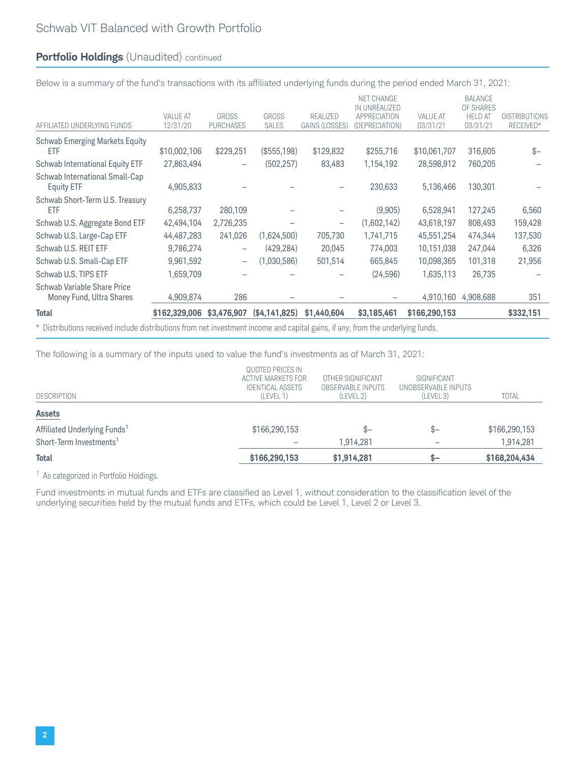## **Portfolio Holdings** (Unaudited) continued

Below is a summary of the fund's transactions with its affiliated underlying funds during the period ended March 31, 2021:

| <b>Total</b>                                        | \$162,329,006               | \$3,476,907                      | (\$4,141,825)                | \$1,440,604                       | \$3,185,461                                                                 | \$166,290,153               |                                                           | \$332,151                         |
|-----------------------------------------------------|-----------------------------|----------------------------------|------------------------------|-----------------------------------|-----------------------------------------------------------------------------|-----------------------------|-----------------------------------------------------------|-----------------------------------|
| Money Fund, Ultra Shares                            | 4,909,874                   | 286                              |                              |                                   |                                                                             | 4,910,160                   | 4,908,688                                                 | 351                               |
| Schwab Variable Share Price                         |                             |                                  |                              |                                   |                                                                             |                             |                                                           |                                   |
| Schwab U.S. TIPS ETF                                | 1,659,709                   |                                  |                              |                                   | (24, 596)                                                                   | 1,635,113                   | 26,735                                                    |                                   |
| Schwab U.S. Small-Cap ETF                           | 9,961,592                   | $\overline{\phantom{0}}$         | (1,030,586)                  | 501,514                           | 665,845                                                                     | 10,098,365                  | 101,318                                                   | 21,956                            |
| Schwab U.S. REIT ETF                                | 9,786,274                   | $\overline{\phantom{m}}$         | (429, 284)                   | 20,045                            | 774,003                                                                     | 10,151,038                  | 247,044                                                   | 6,326                             |
| Schwab U.S. Large-Cap ETF                           | 44,487,283                  | 241,026                          | (1,624,500)                  | 705,730                           | 1,741,715                                                                   | 45,551,254                  | 474,344                                                   | 137,530                           |
| Schwab U.S. Aggregate Bond ETF                      | 42,494,104                  | 2,726,235                        |                              | $\qquad \qquad -$                 | (1,602,142)                                                                 | 43,618,197                  | 808,493                                                   | 159,428                           |
| Schwab Short-Term U.S. Treasury<br>ETF              | 6,258,737                   | 280,109                          |                              |                                   | (9,905)                                                                     | 6,528,941                   | 127,245                                                   | 6,560                             |
| Schwab International Small-Cap<br><b>Equity ETF</b> | 4,905,833                   |                                  |                              |                                   | 230,633                                                                     | 5,136,466                   | 130,301                                                   |                                   |
| Schwab International Equity ETF                     | 27,863,494                  |                                  | (502, 257)                   | 83,483                            | 1,154,192                                                                   | 28,598,912                  | 760,205                                                   |                                   |
| <b>Schwab Emerging Markets Equity</b><br>ETF        | \$10,002,106                | \$229,251                        | (\$555,198)                  | \$129,832                         | \$255,716                                                                   | \$10,061,707                | 316,605                                                   | $$-$                              |
| AFFILIATED UNDERLYING FUNDS                         | <b>VALUE AT</b><br>12/31/20 | <b>GROSS</b><br><b>PURCHASES</b> | <b>GROSS</b><br><b>SALES</b> | <b>REALIZED</b><br>GAINS (LOSSES) | <b>NET CHANGE</b><br>IN UNREALIZED<br><b>APPRECIATION</b><br>(DEPRECIATION) | <b>VALUE AT</b><br>03/31/21 | <b>BALANCE</b><br>OF SHARES<br><b>HELD AT</b><br>03/31/21 | <b>DISTRIBUTIONS</b><br>RECEIVED* |
|                                                     |                             |                                  |                              |                                   |                                                                             |                             |                                                           |                                   |

\* Distributions received include distributions from net investment income and capital gains, if any, from the underlying funds.

The following is a summary of the inputs used to value the fund's investments as of March 31, 2021:

| <b>DESCRIPTION</b>                       | QUOTED PRICES IN<br>ACTIVE MARKETS FOR<br><b>IDENTICAL ASSETS</b><br>(LEVEL 1) | OTHER SIGNIFICANT<br><b>OBSERVABLE INPUTS</b><br>(LEVEL 2) | SIGNIFICANT<br>UNOBSERVABLE INPUTS<br>(LEVEL 3) | <b>TOTAL</b>  |
|------------------------------------------|--------------------------------------------------------------------------------|------------------------------------------------------------|-------------------------------------------------|---------------|
| <b>Assets</b>                            |                                                                                |                                                            |                                                 |               |
| Affiliated Underlying Funds <sup>1</sup> | \$166,290,153                                                                  | $S-$                                                       | $S-$                                            | \$166,290,153 |
| Short-Term Investments <sup>1</sup>      |                                                                                | 1.914.281                                                  |                                                 | 1,914,281     |
| <b>Total</b>                             | \$166,290,153                                                                  | \$1,914,281                                                | $s-$                                            | \$168,204,434 |

<sup>1</sup> As categorized in Portfolio Holdings.

Fund investments in mutual funds and ETFs are classified as Level 1, without consideration to the classification level of the underlying securities held by the mutual funds and ETFs, which could be Level 1, Level 2 or Level 3.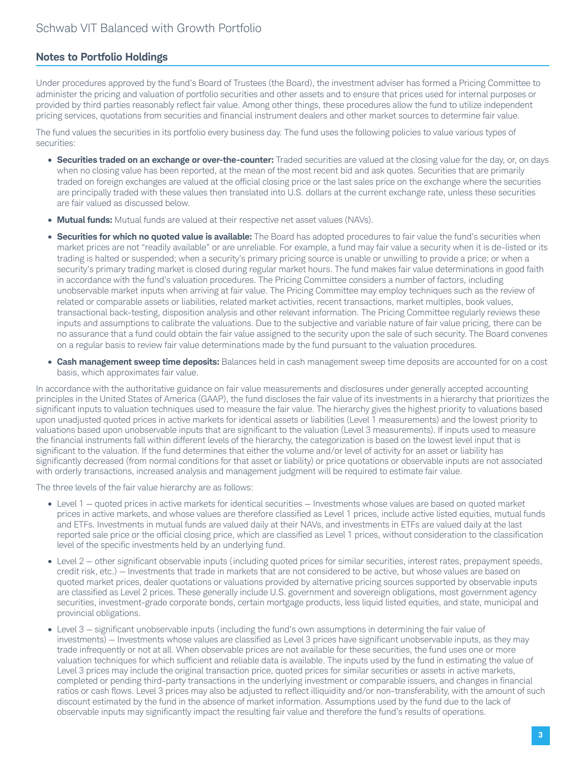## **Notes to Portfolio Holdings**

Under procedures approved by the fund's Board of Trustees (the Board), the investment adviser has formed a Pricing Committee to administer the pricing and valuation of portfolio securities and other assets and to ensure that prices used for internal purposes or provided by third parties reasonably reflect fair value. Among other things, these procedures allow the fund to utilize independent pricing services, quotations from securities and financial instrument dealers and other market sources to determine fair value.

The fund values the securities in its portfolio every business day. The fund uses the following policies to value various types of securities:

- **Securities traded on an exchange or over-the-counter:** Traded securities are valued at the closing value for the day, or, on days when no closing value has been reported, at the mean of the most recent bid and ask quotes. Securities that are primarily traded on foreign exchanges are valued at the official closing price or the last sales price on the exchange where the securities are principally traded with these values then translated into U.S. dollars at the current exchange rate, unless these securities are fair valued as discussed below.
- **Mutual funds:** Mutual funds are valued at their respective net asset values (NAVs).
- **Securities for which no quoted value is available:** The Board has adopted procedures to fair value the fund's securities when market prices are not "readily available" or are unreliable. For example, a fund may fair value a security when it is de-listed or its trading is halted or suspended; when a security's primary pricing source is unable or unwilling to provide a price; or when a security's primary trading market is closed during regular market hours. The fund makes fair value determinations in good faith in accordance with the fund's valuation procedures. The Pricing Committee considers a number of factors, including unobservable market inputs when arriving at fair value. The Pricing Committee may employ techniques such as the review of related or comparable assets or liabilities, related market activities, recent transactions, market multiples, book values, transactional back-testing, disposition analysis and other relevant information. The Pricing Committee regularly reviews these inputs and assumptions to calibrate the valuations. Due to the subjective and variable nature of fair value pricing, there can be no assurance that a fund could obtain the fair value assigned to the security upon the sale of such security. The Board convenes on a regular basis to review fair value determinations made by the fund pursuant to the valuation procedures.
- **Cash management sweep time deposits:** Balances held in cash management sweep time deposits are accounted for on a cost basis, which approximates fair value.

In accordance with the authoritative guidance on fair value measurements and disclosures under generally accepted accounting principles in the United States of America (GAAP), the fund discloses the fair value of its investments in a hierarchy that prioritizes the significant inputs to valuation techniques used to measure the fair value. The hierarchy gives the highest priority to valuations based upon unadjusted quoted prices in active markets for identical assets or liabilities (Level 1 measurements) and the lowest priority to valuations based upon unobservable inputs that are significant to the valuation (Level 3 measurements). If inputs used to measure the financial instruments fall within different levels of the hierarchy, the categorization is based on the lowest level input that is significant to the valuation. If the fund determines that either the volume and/or level of activity for an asset or liability has significantly decreased (from normal conditions for that asset or liability) or price quotations or observable inputs are not associated with orderly transactions, increased analysis and management judgment will be required to estimate fair value.

The three levels of the fair value hierarchy are as follows:

- Level 1 quoted prices in active markets for identical securities Investments whose values are based on quoted market prices in active markets, and whose values are therefore classified as Level 1 prices, include active listed equities, mutual funds and ETFs. Investments in mutual funds are valued daily at their NAVs, and investments in ETFs are valued daily at the last reported sale price or the official closing price, which are classified as Level 1 prices, without consideration to the classification level of the specific investments held by an underlying fund.
- Level 2 other significant observable inputs (including quoted prices for similar securities, interest rates, prepayment speeds, credit risk, etc.) — Investments that trade in markets that are not considered to be active, but whose values are based on quoted market prices, dealer quotations or valuations provided by alternative pricing sources supported by observable inputs are classified as Level 2 prices. These generally include U.S. government and sovereign obligations, most government agency securities, investment-grade corporate bonds, certain mortgage products, less liquid listed equities, and state, municipal and provincial obligations.
- Level 3 significant unobservable inputs (including the fund's own assumptions in determining the fair value of investments) — Investments whose values are classified as Level 3 prices have significant unobservable inputs, as they may trade infrequently or not at all. When observable prices are not available for these securities, the fund uses one or more valuation techniques for which sufficient and reliable data is available. The inputs used by the fund in estimating the value of Level 3 prices may include the original transaction price, quoted prices for similar securities or assets in active markets, completed or pending third-party transactions in the underlying investment or comparable issuers, and changes in financial ratios or cash flows. Level 3 prices may also be adjusted to reflect illiquidity and/or non-transferability, with the amount of such discount estimated by the fund in the absence of market information. Assumptions used by the fund due to the lack of observable inputs may significantly impact the resulting fair value and therefore the fund's results of operations.